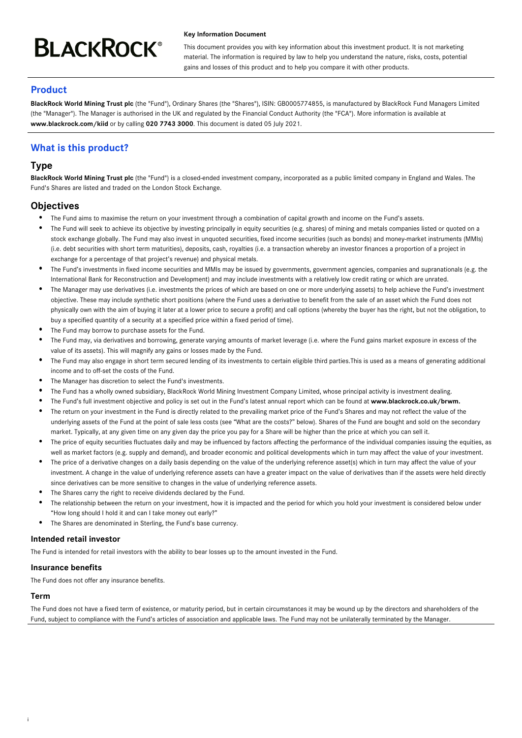# **BLACKROCK®**

#### **Key Information Document**

This document provides you with key information about this investment product. It is not marketing material. The information is required by law to help you understand the nature, risks, costs, potential gains and losses of this product and to help you compare it with other products.

# **Product**

**BlackRock World Mining Trust plc** (the "Fund"), Ordinary Shares (the "Shares"), ISIN: GB0005774855, is manufactured by BlackRock Fund Managers Limited (the "Manager"). The Manager is authorised in the UK and regulated by the Financial Conduct Authority (the "FCA"). More information is available at **www.blackrock.com/kiid** or by calling **020 7743 3000**. This document is dated 05 July 2021.

# **What is this product?**

## **Type**

**BlackRock World Mining Trust plc** (the "Fund") is a closed-ended investment company, incorporated as a public limited company in England and Wales. The Fund's Shares are listed and traded on the London Stock Exchange.

# **Objectives**

- The Fund aims to maximise the return on your investment through a combination of capital growth and income on the Fund's assets.
- The Fund will seek to achieve its objective by investing principally in equity securities (e.g. shares) of mining and metals companies listed or quoted on a stock exchange globally. The Fund may also invest in unquoted securities, fixed income securities (such as bonds) and money-market instruments (MMIs) (i.e. debt securities with short term maturities), deposits, cash, royalties (i.e. a transaction whereby an investor finances a proportion of a project in exchange for a percentage of that project's revenue) and physical metals.
- The Fund's investments in fixed income securities and MMIs may be issued by governments, government agencies, companies and supranationals (e.g. the International Bank for Reconstruction and Development) and may include investments with a relatively low credit rating or which are unrated.
- The Manager may use derivatives (i.e. investments the prices of which are based on one or more underlying assets) to help achieve the Fund's investment objective. These may include synthetic short positions (where the Fund uses a derivative to benefit from the sale of an asset which the Fund does not physically own with the aim of buying it later at a lower price to secure a profit) and call options (whereby the buyer has the right, but not the obligation, to buy a specified quantity of a security at a specified price within a fixed period of time).
- The Fund may borrow to purchase assets for the Fund.
- The Fund may, via derivatives and borrowing, generate varying amounts of market leverage (i.e. where the Fund gains market exposure in excess of the value of its assets). This will magnify any gains or losses made by the Fund.
- The Fund may also engage in short term secured lending of its investments to certain eligible third parties.This is used as a means of generating additional income and to off-set the costs of the Fund.
- The Manager has discretion to select the Fund's investments.
- The Fund has a wholly owned subsidiary, BlackRock World Mining Investment Company Limited, whose principal activity is investment dealing.
- The Fund's full investment objective and policy is set out in the Fund's latest annual report which can be found at **www.blackrock.co.uk/brwm.**
- The return on your investment in the Fund is directly related to the prevailing market price of the Fund's Shares and may not reflect the value of the underlying assets of the Fund at the point of sale less costs (see "What are the costs?" below). Shares of the Fund are bought and sold on the secondary market. Typically, at any given time on any given day the price you pay for a Share will be higher than the price at which you can sell it.
- The price of equity securities fluctuates daily and may be influenced by factors affecting the performance of the individual companies issuing the equities, as well as market factors (e.g. supply and demand), and broader economic and political developments which in turn may affect the value of your investment.
- $\bullet$ The price of a derivative changes on a daily basis depending on the value of the underlying reference asset(s) which in turn may affect the value of your investment. A change in the value of underlying reference assets can have a greater impact on the value of derivatives than if the assets were held directly since derivatives can be more sensitive to changes in the value of underlying reference assets.
- The Shares carry the right to receive dividends declared by the Fund.
- The relationship between the return on your investment, how it is impacted and the period for which you hold your investment is considered below under "How long should I hold it and can I take money out early?"
- The Shares are denominated in Sterling, the Fund's base currency.

## **Intended retail investor**

The Fund is intended for retail investors with the ability to bear losses up to the amount invested in the Fund.

## **Insurance benefits**

The Fund does not offer any insurance benefits.

## **Term**

i

The Fund does not have a fixed term of existence, or maturity period, but in certain circumstances it may be wound up by the directors and shareholders of the Fund, subject to compliance with the Fund's articles of association and applicable laws. The Fund may not be unilaterally terminated by the Manager.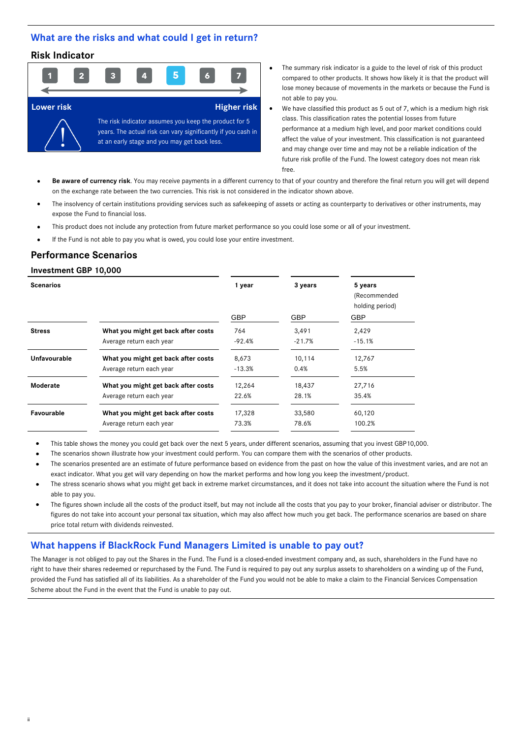## **What are the risks and what could I get in return?**

## **Risk Indicator**



- The summary risk indicator is a guide to the level of risk of this product compared to other products. It shows how likely it is that the product will lose money because of movements in the markets or because the Fund is not able to pay you.
- We have classified this product as 5 out of 7, which is a medium high risk class. This classification rates the potential losses from future performance at a medium high level, and poor market conditions could affect the value of your investment. This classification is not guaranteed and may change over time and may not be a reliable indication of the future risk profile of the Fund. The lowest category does not mean risk free.
- **Be aware of currency risk**. You may receive payments in a different currency to that of your country and therefore the final return you will get will depend on the exchange rate between the two currencies. This risk is not considered in the indicator shown above.
- The insolvency of certain institutions providing services such as safekeeping of assets or acting as counterparty to derivatives or other instruments, may expose the Fund to financial loss.
- This product does not include any protection from future market performance so you could lose some or all of your investment.
- If the Fund is not able to pay you what is owed, you could lose your entire investment.

## **Performance Scenarios**

## **Investment GBP 10,000**

ii

| <b>Scenarios</b> |                                     | 1 year     | 3 years    | 5 years<br>(Recommended<br>holding period) |
|------------------|-------------------------------------|------------|------------|--------------------------------------------|
|                  |                                     | <b>GBP</b> | <b>GBP</b> | <b>GBP</b>                                 |
| <b>Stress</b>    | What you might get back after costs | 764        | 3,491      | 2,429                                      |
|                  | Average return each year            | -92.4%     | $-21.7%$   | $-15.1%$                                   |
| Unfavourable     | What you might get back after costs | 8,673      | 10,114     | 12,767                                     |
|                  | Average return each year            | $-13.3%$   | 0.4%       | 5.5%                                       |
| Moderate         | What you might get back after costs | 12.264     | 18,437     | 27,716                                     |
|                  | Average return each year            | 22.6%      | 28.1%      | 35.4%                                      |
| Favourable       | What you might get back after costs | 17,328     | 33,580     | 60,120                                     |
|                  | Average return each year            | 73.3%      | 78.6%      | 100.2%                                     |
|                  |                                     |            |            |                                            |

- This table shows the money you could get back over the next 5 years, under different scenarios, assuming that you invest GBP10,000.
- The scenarios shown illustrate how your investment could perform. You can compare them with the scenarios of other products.
- The scenarios presented are an estimate of future performance based on evidence from the past on how the value of this investment varies, and are not an exact indicator. What you get will vary depending on how the market performs and how long you keep the investment/product.
- The stress scenario shows what you might get back in extreme market circumstances, and it does not take into account the situation where the Fund is not able to pay you.
- The figures shown include all the costs of the product itself, but may not include all the costs that you pay to your broker, financial adviser or distributor. The figures do not take into account your personal tax situation, which may also affect how much you get back. The performance scenarios are based on share price total return with dividends reinvested.

## **What happens if BlackRock Fund Managers Limited is unable to pay out?**

The Manager is not obliged to pay out the Shares in the Fund. The Fund is a closed-ended investment company and, as such, shareholders in the Fund have no right to have their shares redeemed or repurchased by the Fund. The Fund is required to pay out any surplus assets to shareholders on a winding up of the Fund, provided the Fund has satisfied all of its liabilities. As a shareholder of the Fund you would not be able to make a claim to the Financial Services Compensation Scheme about the Fund in the event that the Fund is unable to pay out.